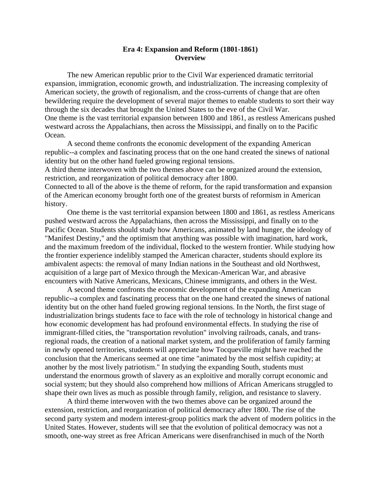## **Era 4: Expansion and Reform (1801-1861) Overview**

The new American republic prior to the Civil War experienced dramatic territorial expansion, immigration, economic growth, and industrialization. The increasing complexity of American society, the growth of regionalism, and the cross-currents of change that are often bewildering require the development of several major themes to enable students to sort their way through the six decades that brought the United States to the eve of the Civil War. One theme is the vast territorial expansion between 1800 and 1861, as restless Americans pushed westward across the Appalachians, then across the Mississippi, and finally on to the Pacific Ocean.

A second theme confronts the economic development of the expanding American republic--a complex and fascinating process that on the one hand created the sinews of national identity but on the other hand fueled growing regional tensions.

A third theme interwoven with the two themes above can be organized around the extension, restriction, and reorganization of political democracy after 1800.

Connected to all of the above is the theme of reform, for the rapid transformation and expansion of the American economy brought forth one of the greatest bursts of reformism in American history.

One theme is the vast territorial expansion between 1800 and 1861, as restless Americans pushed westward across the Appalachians, then across the Mississippi, and finally on to the Pacific Ocean. Students should study how Americans, animated by land hunger, the ideology of "Manifest Destiny," and the optimism that anything was possible with imagination, hard work, and the maximum freedom of the individual, flocked to the western frontier. While studying how the frontier experience indelibly stamped the American character, students should explore its ambivalent aspects: the removal of many Indian nations in the Southeast and old Northwest, acquisition of a large part of Mexico through the Mexican-American War, and abrasive encounters with Native Americans, Mexicans, Chinese immigrants, and others in the West.

A second theme confronts the economic development of the expanding American republic--a complex and fascinating process that on the one hand created the sinews of national identity but on the other hand fueled growing regional tensions. In the North, the first stage of industrialization brings students face to face with the role of technology in historical change and how economic development has had profound environmental effects. In studying the rise of immigrant-filled cities, the "transportation revolution" involving railroads, canals, and transregional roads, the creation of a national market system, and the proliferation of family farming in newly opened territories, students will appreciate how Tocqueville might have reached the conclusion that the Americans seemed at one time "animated by the most selfish cupidity; at another by the most lively patriotism." In studying the expanding South, students must understand the enormous growth of slavery as an exploitive and morally corrupt economic and social system; but they should also comprehend how millions of African Americans struggled to shape their own lives as much as possible through family, religion, and resistance to slavery.

A third theme interwoven with the two themes above can be organized around the extension, restriction, and reorganization of political democracy after 1800. The rise of the second party system and modern interest-group politics mark the advent of modern politics in the United States. However, students will see that the evolution of political democracy was not a smooth, one-way street as free African Americans were disenfranchised in much of the North